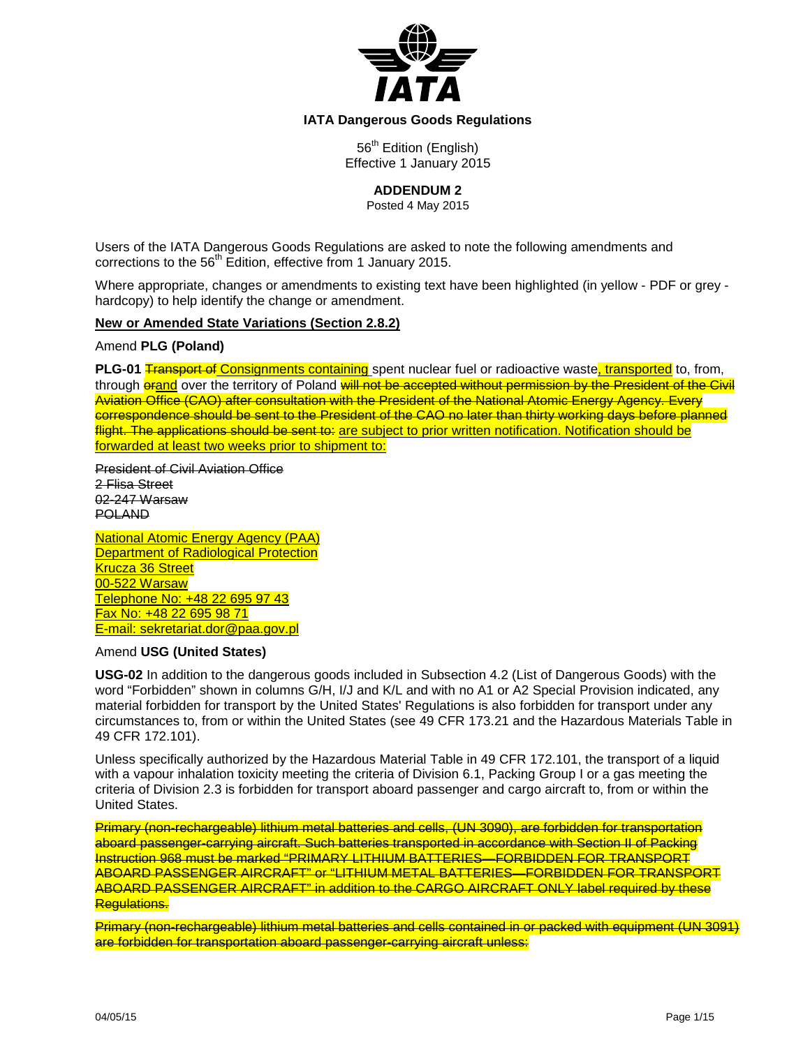

# **IATA Dangerous Goods Regulations**

56<sup>th</sup> Edition (English) Effective 1 January 2015

**ADDENDUM 2**

Posted 4 May 2015

Users of the IATA Dangerous Goods Regulations are asked to note the following amendments and corrections to the 56<sup>th</sup> Edition, effective from 1 January 2015.

Where appropriate, changes or amendments to existing text have been highlighted (in yellow - PDF or grey hardcopy) to help identify the change or amendment.

### **New or Amended State Variations (Section 2.8.2)**

Amend **PLG (Poland)**

**PLG-01** Transport of Consignments containing spent nuclear fuel or radioactive waste, transported to, from, through **orand** over the territory of Poland will not be accepted without permission by the President of the Civil Aviation Office (CAO) after consultation with the President of the National Atomic Energy Agency. Every correspondence should be sent to the President of the CAO no later than thirty working days before planned flight. The applications should be sent to: are subject to prior written notification. Notification should be forwarded at least two weeks prior to shipment to:

President of Civil Aviation Office 2 Flisa Street 02-247 Warsaw POLAND

National Atomic Energy Agency (PAA) **Department of Radiological Protection** Krucza 36 Street 00-522 Warsaw Telephone No: +48 22 695 97 43 Fax No: +48 22 695 98 71 E-mail: sekretariat.dor@paa.gov.pl

#### Amend **USG (United States)**

**USG-02** In addition to the dangerous goods included in Subsection 4.2 (List of Dangerous Goods) with the word "Forbidden" shown in columns G/H, I/J and K/L and with no A1 or A2 Special Provision indicated, any material forbidden for transport by the United States' Regulations is also forbidden for transport under any circumstances to, from or within the United States (see 49 CFR 173.21 and the Hazardous Materials Table in 49 CFR 172.101).

Unless specifically authorized by the Hazardous Material Table in 49 CFR 172.101, the transport of a liquid with a vapour inhalation toxicity meeting the criteria of Division 6.1, Packing Group I or a gas meeting the criteria of Division 2.3 is forbidden for transport aboard passenger and cargo aircraft to, from or within the United States.

Primary (non-rechargeable) lithium metal batteries and cells, (UN 3090), are forbidden for transportation aboard passenger-carrying aircraft. Such batteries transported in accordance with Section II of Packing Instruction 968 must be marked "PRIMARY LITHIUM BATTERIES—FORBIDDEN FOR TRANSPORT ABOARD PASSENGER AIRCRAFT" or "LITHIUM METAL BATTERIES—FORBIDDEN FOR TRANSPORT ABOARD PASSENGER AIRCRAFT" in addition to the CARGO AIRCRAFT ONLY label required by these Regulations.

Primary (non-rechargeable) lithium metal batteries and cells contained in or packed with equipment (UN 3091) are forbidden for transportation aboard passenger-carrying aircraft unless: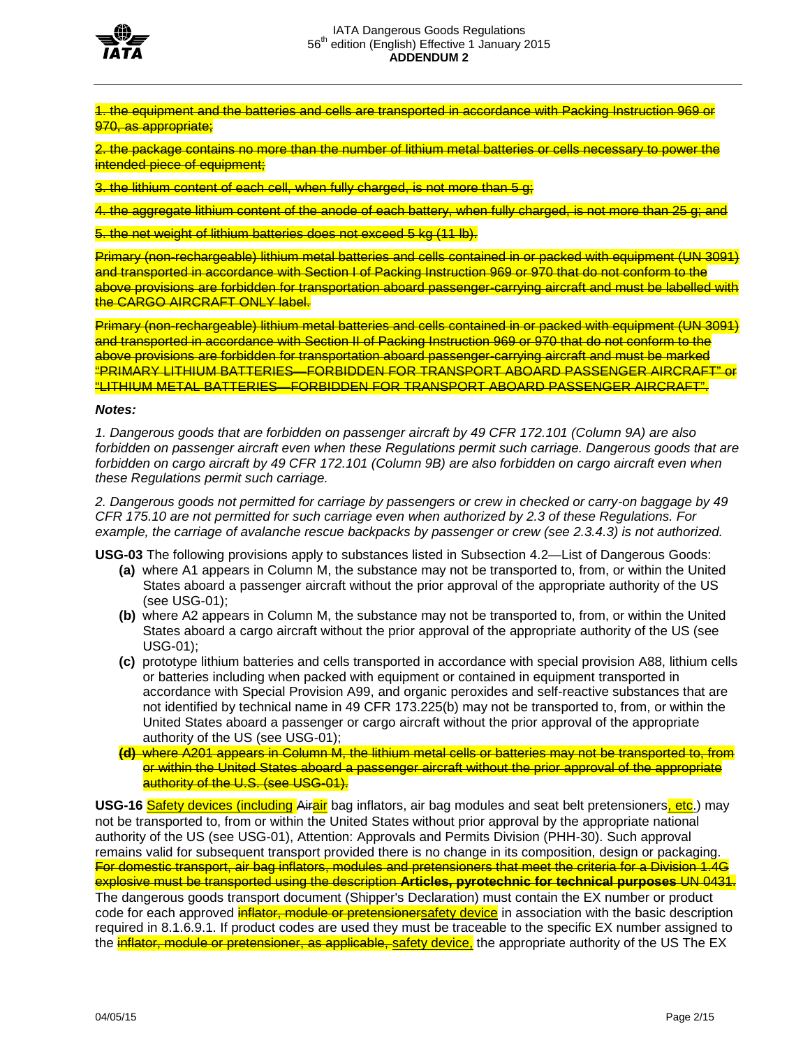

1. the equipment and the batteries and cells are transported in accordance with Packing Instruction 969 or 970, as appropriate:

2. the package contains no more than the number of lithium metal batteries or cells necessary to power the intended piece of equipment;

3. the lithium content of each cell, when fully charged, is not more than 5 g;

4. the aggregate lithium content of the anode of each battery, when fully charged, is not more than 25 g; and

5. the net weight of lithium batteries does not exceed 5 kg (11 lb).

Primary (non-rechargeable) lithium metal batteries and cells contained in or packed with equipment (UN 3091) and transported in accordance with Section I of Packing Instruction 969 or 970 that do not conform to the above provisions are forbidden for transportation aboard passenger-carrying aircraft and must be labelled with the CARGO AIRCRAFT ONLY label.

Primary (non-rechargeable) lithium metal batteries and cells contained in or packed with equipment (UN 3091) and transported in accordance with Section II of Packing Instruction 969 or 970 that do not conform to the above provisions are forbidden for transportation aboard passenger-carrying aircraft and must be marked "PRIMARY LITHIUM BATTERIES—FORBIDDEN FOR TRANSPORT ABOARD PASSENGER AIRCRAFT" or "LITHIUM METAL BATTERIES—FORBIDDEN FOR TRANSPORT ABOARD PASSENGER AIRCRAFT".

#### *Notes:*

*1. Dangerous goods that are forbidden on passenger aircraft by 49 CFR 172.101 (Column 9A) are also forbidden on passenger aircraft even when these Regulations permit such carriage. Dangerous goods that are forbidden on cargo aircraft by 49 CFR 172.101 (Column 9B) are also forbidden on cargo aircraft even when these Regulations permit such carriage.*

*2. Dangerous goods not permitted for carriage by passengers or crew in checked or carry-on baggage by 49 CFR 175.10 are not permitted for such carriage even when authorized by 2.3 of these Regulations. For example, the carriage of avalanche rescue backpacks by passenger or crew (see 2.3.4.3) is not authorized.*

**USG-03** The following provisions apply to substances listed in Subsection 4.2—List of Dangerous Goods:

- **(a)** where A1 appears in Column M, the substance may not be transported to, from, or within the United States aboard a passenger aircraft without the prior approval of the appropriate authority of the US (see USG-01);
- **(b)** where A2 appears in Column M, the substance may not be transported to, from, or within the United States aboard a cargo aircraft without the prior approval of the appropriate authority of the US (see USG-01);
- **(c)** prototype lithium batteries and cells transported in accordance with special provision A88, lithium cells or batteries including when packed with equipment or contained in equipment transported in accordance with Special Provision A99, and organic peroxides and self-reactive substances that are not identified by technical name in 49 CFR 173.225(b) may not be transported to, from, or within the United States aboard a passenger or cargo aircraft without the prior approval of the appropriate authority of the US (see USG-01);
- **(d)** where A201 appears in Column M, the lithium metal cells or batteries may not be transported to, from or within the United States aboard a passenger aircraft without the prior approval of the appropriate authority of the U.S. (see USG-01).

**USG-16** Safety devices (including Airair bag inflators, air bag modules and seat belt pretensioners, etc.) may not be transported to, from or within the United States without prior approval by the appropriate national authority of the US (see USG-01), Attention: Approvals and Permits Division (PHH-30). Such approval remains valid for subsequent transport provided there is no change in its composition, design or packaging. For domestic transport, air bag inflators, modules and pretensioners that meet the criteria for a Division 1.4G explosive must be transported using the description **Articles, pyrotechnic for technical purposes** UN 0431. The dangerous goods transport document (Shipper's Declaration) must contain the EX number or product code for each approved *inflator, module or pretensionersafety device* in association with the basic description required in 8.1.6.9.1. If product codes are used they must be traceable to the specific EX number assigned to the **inflator, module or pretensioner, as applicable, safety device**, the appropriate authority of the US The EX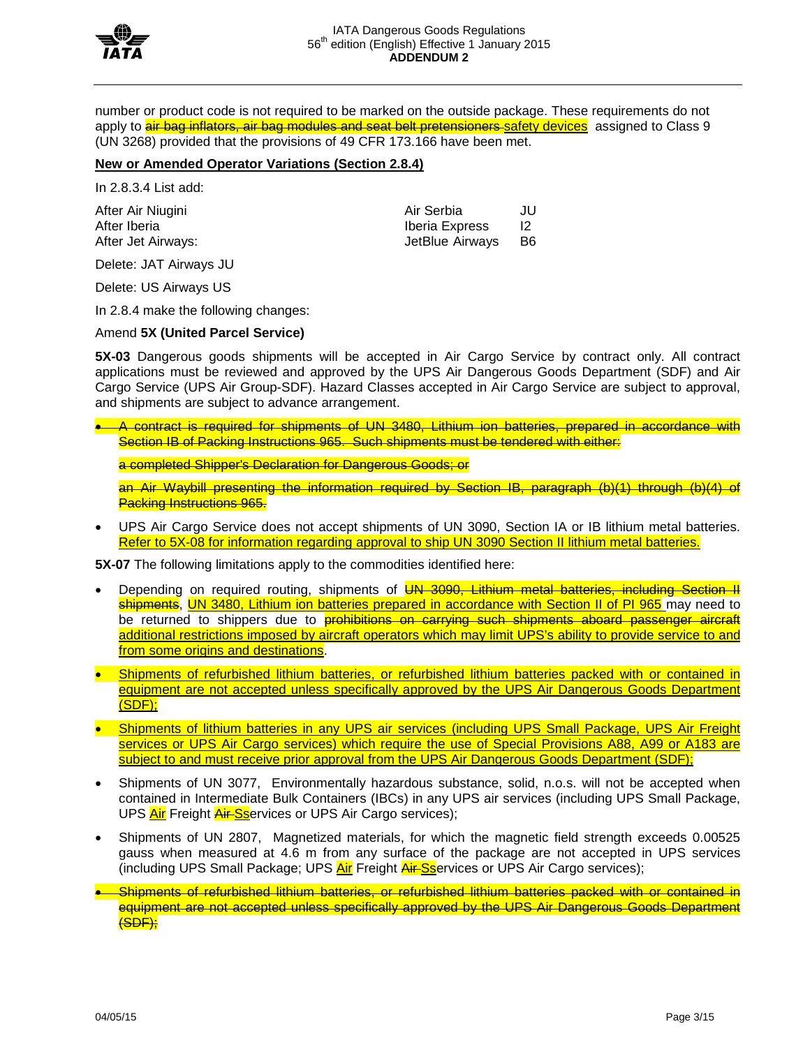

number or product code is not required to be marked on the outside package. These requirements do not apply to **air bag inflators, air bag modules and seat belt pretensioners** safety devices assigned to Class 9 (UN 3268) provided that the provisions of 49 CFR 173.166 have been met.

# **New or Amended Operator Variations (Section 2.8.4)**

In 2.8.3.4 List add:

After Iberia **Iberia** Iberia Express

After Air Niugini Air Serbia JU After Jet Airways:  $\overline{B6}$ 

Delete: JAT Airways JU

Delete: US Airways US

In 2.8.4 make the following changes:

### Amend **5X (United Parcel Service)**

**5X-03** Dangerous goods shipments will be accepted in Air Cargo Service by contract only. All contract applications must be reviewed and approved by the UPS Air Dangerous Goods Department (SDF) and Air Cargo Service (UPS Air Group-SDF). Hazard Classes accepted in Air Cargo Service are subject to approval, and shipments are subject to advance arrangement.

• A contract is required for shipments of UN 3480, Lithium ion batteries, prepared in accordance with Section IB of Packing Instructions 965. Such shipments must be tendered with either:

a completed Shipper's Declaration for Dangerous Goods; or

an Air Waybill presenting the information required by Section IB, paragraph (b)(1) through (b)(4) of **Packing Instructions 965.** 

• UPS Air Cargo Service does not accept shipments of UN 3090, Section IA or IB lithium metal batteries. Refer to 5X-08 for information regarding approval to ship UN 3090 Section II lithium metal batteries.

**5X-07** The following limitations apply to the commodities identified here:

- Depending on required routing, shipments of **UN 3090, Lithium metal batteries, including Section II** shipments, UN 3480, Lithium ion batteries prepared in accordance with Section II of PI 965 may need to be returned to shippers due to **prohibitions on carrying such shipments aboard passenger aircraft** additional restrictions imposed by aircraft operators which may limit UPS's ability to provide service to and from some origins and destinations.
- Shipments of refurbished lithium batteries, or refurbished lithium batteries packed with or contained in equipment are not accepted unless specifically approved by the UPS Air Dangerous Goods Department (SDF);
- Shipments of lithium batteries in any UPS air services (including UPS Small Package, UPS Air Freight services or UPS Air Cargo services) which require the use of Special Provisions A88, A99 or A183 are subject to and must receive prior approval from the UPS Air Dangerous Goods Department (SDF);
- Shipments of UN 3077, Environmentally hazardous substance, solid, n.o.s. will not be accepted when contained in Intermediate Bulk Containers (IBCs) in any UPS air services (including UPS Small Package, UPS **Air** Freight **Air-Ss**ervices or UPS Air Cargo services);
- Shipments of UN 2807, Magnetized materials, for which the magnetic field strength exceeds 0.00525 gauss when measured at 4.6 m from any surface of the package are not accepted in UPS services (including UPS Small Package; UPS Air Freight Air-Sservices or UPS Air Cargo services);
- Shipments of refurbished lithium batteries, or refurbished lithium batteries packed with or contained in equipment are not accepted unless specifically approved by the UPS Air Dangerous Goods Department (SDF);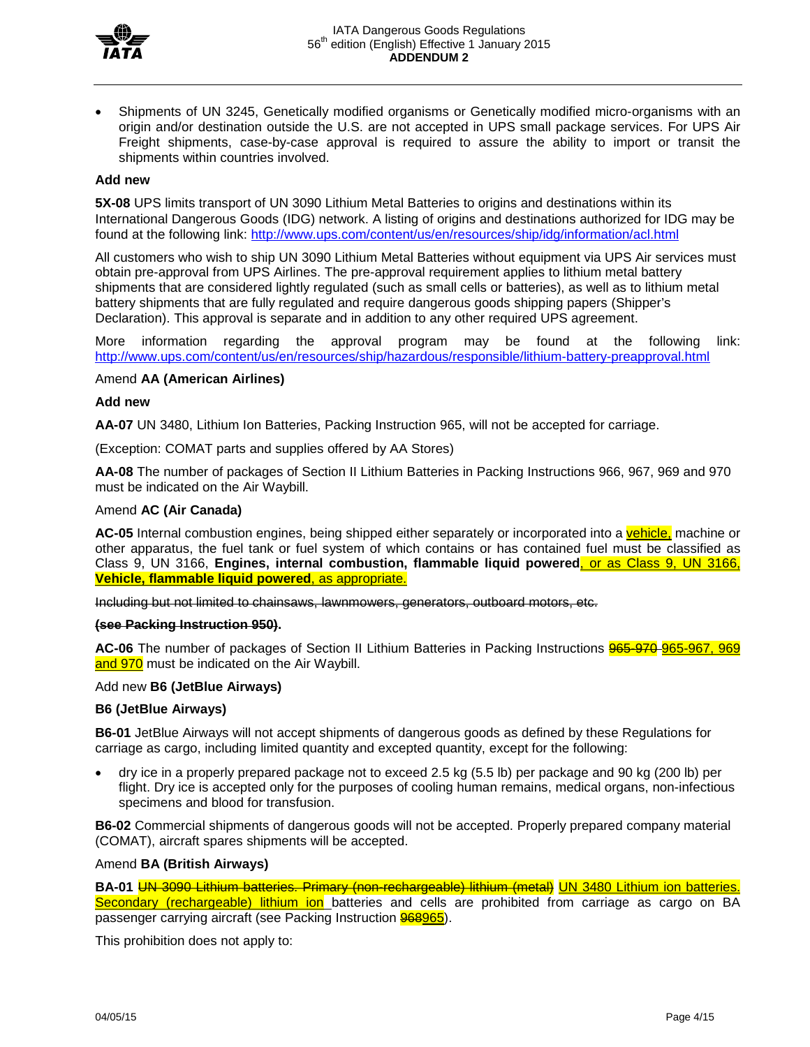

• Shipments of UN 3245, Genetically modified organisms or Genetically modified micro-organisms with an origin and/or destination outside the U.S. are not accepted in UPS small package services. For UPS Air Freight shipments, case-by-case approval is required to assure the ability to import or transit the shipments within countries involved.

# **Add new**

**5X-08** UPS limits transport of UN 3090 Lithium Metal Batteries to origins and destinations within its International Dangerous Goods (IDG) network. A listing of origins and destinations authorized for IDG may be found at the following link:<http://www.ups.com/content/us/en/resources/ship/idg/information/acl.html>

All customers who wish to ship UN 3090 Lithium Metal Batteries without equipment via UPS Air services must obtain pre-approval from UPS Airlines. The pre-approval requirement applies to lithium metal battery shipments that are considered lightly regulated (such as small cells or batteries), as well as to lithium metal battery shipments that are fully regulated and require dangerous goods shipping papers (Shipper's Declaration). This approval is separate and in addition to any other required UPS agreement.

More information regarding the approval program may be found at the following link: <http://www.ups.com/content/us/en/resources/ship/hazardous/responsible/lithium-battery-preapproval.html>

### Amend **AA (American Airlines)**

### **Add new**

**AA-07** UN 3480, Lithium Ion Batteries, Packing Instruction 965, will not be accepted for carriage.

(Exception: COMAT parts and supplies offered by AA Stores)

**AA-08** The number of packages of Section II Lithium Batteries in Packing Instructions 966, 967, 969 and 970 must be indicated on the Air Waybill.

### Amend **AC (Air Canada)**

**AC-05** Internal combustion engines, being shipped either separately or incorporated into a vehicle, machine or other apparatus, the fuel tank or fuel system of which contains or has contained fuel must be classified as Class 9, UN 3166, **Engines, internal combustion, flammable liquid powered**, or as Class 9, UN 3166, **Vehicle, flammable liquid powered**, as appropriate.

Including but not limited to chainsaws, lawnmowers, generators, outboard motors, etc.

#### **(see Packing Instruction 950).**

AC-06 The number of packages of Section II Lithium Batteries in Packing Instructions **965-970-965-967, 969** and 970 must be indicated on the Air Waybill.

#### Add new **B6 (JetBlue Airways)**

#### **B6 (JetBlue Airways)**

**B6-01** JetBlue Airways will not accept shipments of dangerous goods as defined by these Regulations for carriage as cargo, including limited quantity and excepted quantity, except for the following:

• dry ice in a properly prepared package not to exceed 2.5 kg (5.5 lb) per package and 90 kg (200 lb) per flight. Dry ice is accepted only for the purposes of cooling human remains, medical organs, non-infectious specimens and blood for transfusion.

**B6-02** Commercial shipments of dangerous goods will not be accepted. Properly prepared company material (COMAT), aircraft spares shipments will be accepted.

#### Amend **BA (British Airways)**

**BA-01** UN 3090 Lithium batteries. Primary (non-rechargeable) lithium (metal) UN 3480 Lithium ion batteries. Secondary (rechargeable) lithium ion batteries and cells are prohibited from carriage as cargo on BA passenger carrying aircraft (see Packing Instruction 968965).

This prohibition does not apply to: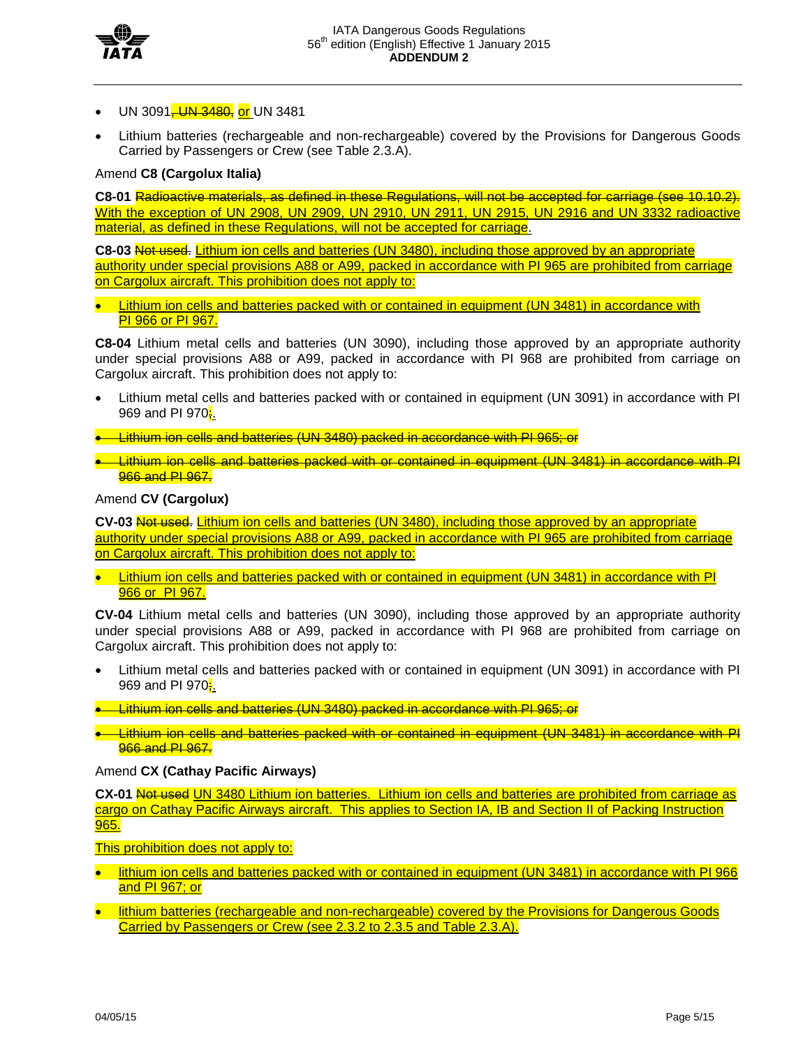

- UN 3091<del>, UN 3480,</del> or UN 3481
- Lithium batteries (rechargeable and non-rechargeable) covered by the Provisions for Dangerous Goods Carried by Passengers or Crew (see Table 2.3.A).

# Amend **C8 (Cargolux Italia)**

**C8-01** Radioactive materials, as defined in these Regulations, will not be accepted for carriage (see 10.10.2). With the exception of UN 2908, UN 2909, UN 2910, UN 2911, UN 2915, UN 2916 and UN 3332 radioactive material, as defined in these Regulations, will not be accepted for carriage.

**C8-03** Not used. Lithium ion cells and batteries (UN 3480), including those approved by an appropriate authority under special provisions A88 or A99, packed in accordance with PI 965 are prohibited from carriage on Cargolux aircraft. This prohibition does not apply to:

**Lithium ion cells and batteries packed with or contained in equipment (UN 3481) in accordance with** PI 966 or PI 967.

**C8-04** Lithium metal cells and batteries (UN 3090), including those approved by an appropriate authority under special provisions A88 or A99, packed in accordance with PI 968 are prohibited from carriage on Cargolux aircraft. This prohibition does not apply to:

- Lithium metal cells and batteries packed with or contained in equipment (UN 3091) in accordance with PI 969 and PI 970;
- Lithium ion cells and batteries (UN 3480) packed in accordance with PI 965; or
- Lithium ion cells and batteries packed with or contained in equipment (UN 3481) in accordance with PI 966 and PI 967.

### Amend **CV (Cargolux)**

**CV-03** Not used. Lithium ion cells and batteries (UN 3480), including those approved by an appropriate authority under special provisions A88 or A99, packed in accordance with PI 965 are prohibited from carriage on Cargolux aircraft. This prohibition does not apply to:

• Lithium ion cells and batteries packed with or contained in equipment (UN 3481) in accordance with PI 966 or PI 967.

**CV-04** Lithium metal cells and batteries (UN 3090), including those approved by an appropriate authority under special provisions A88 or A99, packed in accordance with PI 968 are prohibited from carriage on Cargolux aircraft. This prohibition does not apply to:

- Lithium metal cells and batteries packed with or contained in equipment (UN 3091) in accordance with PI 969 and PI 970<mark>;</mark>.
- Lithium ion cells and batteries (UN 3480) packed in accordance with PI 965; or
- Lithium ion cells and batteries packed with or contained in equipment (UN 3481) in accordance with PI **966 and PI 967.**

# Amend **CX (Cathay Pacific Airways)**

**CX-01** Not used UN 3480 Lithium ion batteries. Lithium ion cells and batteries are prohibited from carriage as cargo on Cathay Pacific Airways aircraft. This applies to Section IA, IB and Section II of Packing Instruction 965.

This prohibition does not apply to:

- lithium ion cells and batteries packed with or contained in equipment (UN 3481) in accordance with PI 966 and PI 967; or
- lithium batteries (rechargeable and non-rechargeable) covered by the Provisions for Dangerous Goods Carried by Passengers or Crew (see 2.3.2 to 2.3.5 and Table 2.3.A).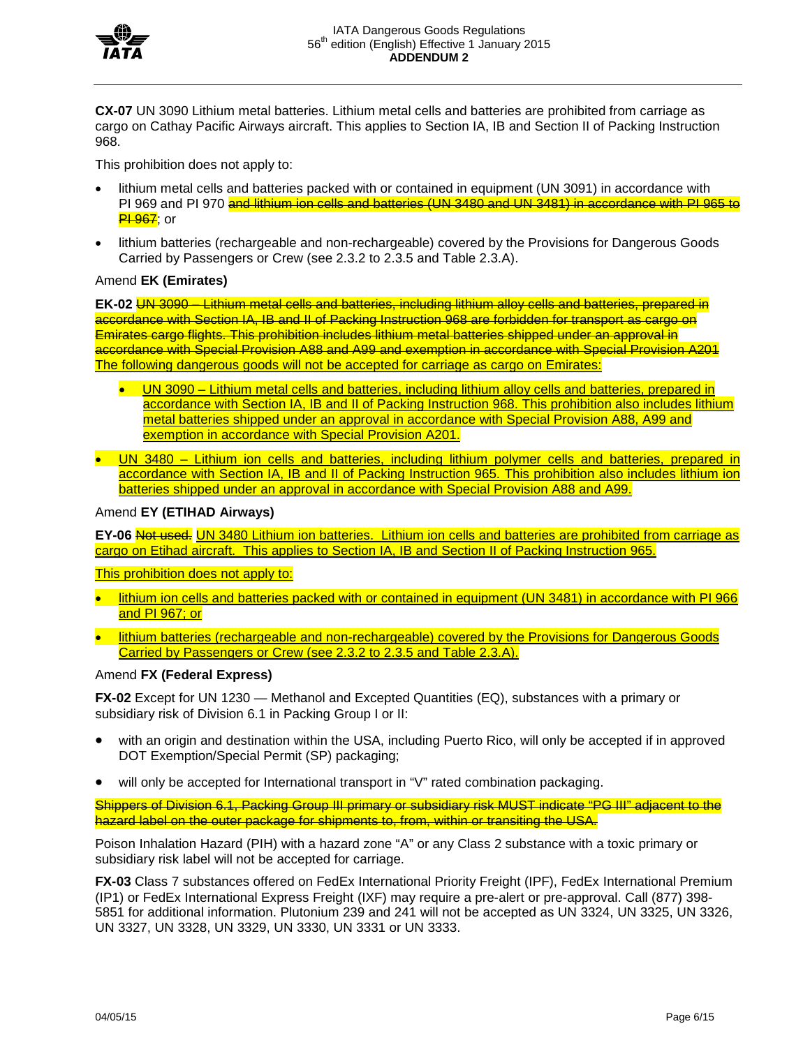

**CX-07** UN 3090 Lithium metal batteries. Lithium metal cells and batteries are prohibited from carriage as cargo on Cathay Pacific Airways aircraft. This applies to Section IA, IB and Section II of Packing Instruction 968.

This prohibition does not apply to:

- lithium metal cells and batteries packed with or contained in equipment (UN 3091) in accordance with PI 969 and PI 970 and lithium ion cells and batteries (UN 3480 and UN 3481) in accordance with PI 965 to <mark>PI 967</mark>; or
- lithium batteries (rechargeable and non-rechargeable) covered by the Provisions for Dangerous Goods Carried by Passengers or Crew (see 2.3.2 to 2.3.5 and Table 2.3.A).

# Amend **EK (Emirates)**

**EK-02** UN 3090 – Lithium metal cells and batteries, including lithium alloy cells and batteries, prepared in accordance with Section IA, IB and II of Packing Instruction 968 are forbidden for transport as cargo on Emirates cargo flights. This prohibition includes lithium metal batteries shipped under an approval in accordance with Special Provision A88 and A99 and exemption in accordance with Special Provision A201 The following dangerous goods will not be accepted for carriage as cargo on Emirates:

- UN 3090 Lithium metal cells and batteries, including lithium alloy cells and batteries, prepared in accordance with Section IA, IB and II of Packing Instruction 968. This prohibition also includes lithium metal batteries shipped under an approval in accordance with Special Provision A88, A99 and exemption in accordance with Special Provision A201.
- UN 3480 Lithium ion cells and batteries, including lithium polymer cells and batteries, prepared in accordance with Section IA, IB and II of Packing Instruction 965. This prohibition also includes lithium ion batteries shipped under an approval in accordance with Special Provision A88 and A99.

### Amend **EY (ETIHAD Airways)**

**EY-06** Not used. UN 3480 Lithium ion batteries. Lithium ion cells and batteries are prohibited from carriage as cargo on Etihad aircraft. This applies to Section IA, IB and Section II of Packing Instruction 965.

This prohibition does not apply to:

- lithium ion cells and batteries packed with or contained in equipment (UN 3481) in accordance with PI 966 and PI 967; or
- lithium batteries (rechargeable and non-rechargeable) covered by the Provisions for Dangerous Goods Carried by Passengers or Crew (see 2.3.2 to 2.3.5 and Table 2.3.A).

# Amend **FX (Federal Express)**

**FX-02** Except for UN 1230 — Methanol and Excepted Quantities (EQ), substances with a primary or subsidiary risk of Division 6.1 in Packing Group I or II:

- with an origin and destination within the USA, including Puerto Rico, will only be accepted if in approved DOT Exemption/Special Permit (SP) packaging;
- will only be accepted for International transport in "V" rated combination packaging.

Shippers of Division 6.1, Packing Group III primary or subsidiary risk MUST indicate "PG III" adjacent to the hazard label on the outer package for shipments to, from, within or transiting the USA.

Poison Inhalation Hazard (PIH) with a hazard zone "A" or any Class 2 substance with a toxic primary or subsidiary risk label will not be accepted for carriage.

**FX-03** Class 7 substances offered on FedEx International Priority Freight (IPF), FedEx International Premium (IP1) or FedEx International Express Freight (IXF) may require a pre-alert or pre-approval. Call (877) 398- 5851 for additional information. Plutonium 239 and 241 will not be accepted as UN 3324, UN 3325, UN 3326, UN 3327, UN 3328, UN 3329, UN 3330, UN 3331 or UN 3333.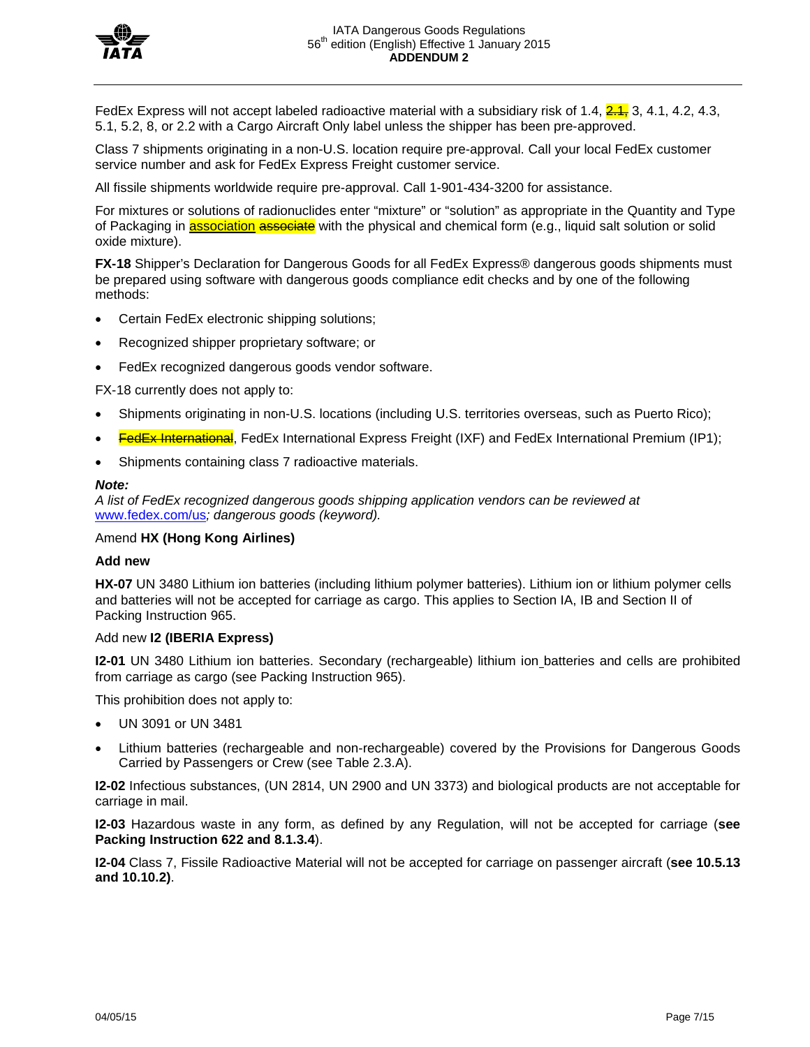

FedEx Express will not accept labeled radioactive material with a subsidiary risk of 1.4,  $2.1$ , 3, 4.1, 4.2, 4.3, 5.1, 5.2, 8, or 2.2 with a Cargo Aircraft Only label unless the shipper has been pre-approved.

Class 7 shipments originating in a non-U.S. location require pre-approval. Call your local FedEx customer service number and ask for FedEx Express Freight customer service.

All fissile shipments worldwide require pre-approval. Call 1-901-434-3200 for assistance.

For mixtures or solutions of radionuclides enter "mixture" or "solution" as appropriate in the Quantity and Type of Packaging in **association associate** with the physical and chemical form (e.g., liquid salt solution or solid oxide mixture).

**FX-18** Shipper's Declaration for Dangerous Goods for all FedEx Express® dangerous goods shipments must be prepared using software with dangerous goods compliance edit checks and by one of the following methods:

- Certain FedEx electronic shipping solutions;
- Recognized shipper proprietary software; or
- FedEx recognized dangerous goods vendor software.

FX-18 currently does not apply to:

- Shipments originating in non-U.S. locations (including U.S. territories overseas, such as Puerto Rico);
- **FedEx International**, FedEx International Express Freight (IXF) and FedEx International Premium (IP1);
- Shipments containing class 7 radioactive materials.

#### *Note:*

*A list of FedEx recognized dangerous goods shipping application vendors can be reviewed at*  [www.fedex.com/us](http://www.fedex.com/us)*; dangerous goods (keyword).*

### Amend **HX (Hong Kong Airlines)**

#### **Add new**

**HX-07** UN 3480 Lithium ion batteries (including lithium polymer batteries). Lithium ion or lithium polymer cells and batteries will not be accepted for carriage as cargo. This applies to Section IA, IB and Section II of Packing Instruction 965.

#### Add new **I2 (IBERIA Express)**

**I2-01** UN 3480 Lithium ion batteries. Secondary (rechargeable) lithium ion batteries and cells are prohibited from carriage as cargo (see Packing Instruction 965).

This prohibition does not apply to:

- UN 3091 or UN 3481
- Lithium batteries (rechargeable and non-rechargeable) covered by the Provisions for Dangerous Goods Carried by Passengers or Crew (see Table 2.3.A).

**I2-02** Infectious substances, (UN 2814, UN 2900 and UN 3373) and biological products are not acceptable for carriage in mail.

**I2-03** Hazardous waste in any form, as defined by any Regulation, will not be accepted for carriage (**see Packing Instruction 622 and 8.1.3.4**).

**I2-04** Class 7, Fissile Radioactive Material will not be accepted for carriage on passenger aircraft (**see 10.5.13 and 10.10.2)**.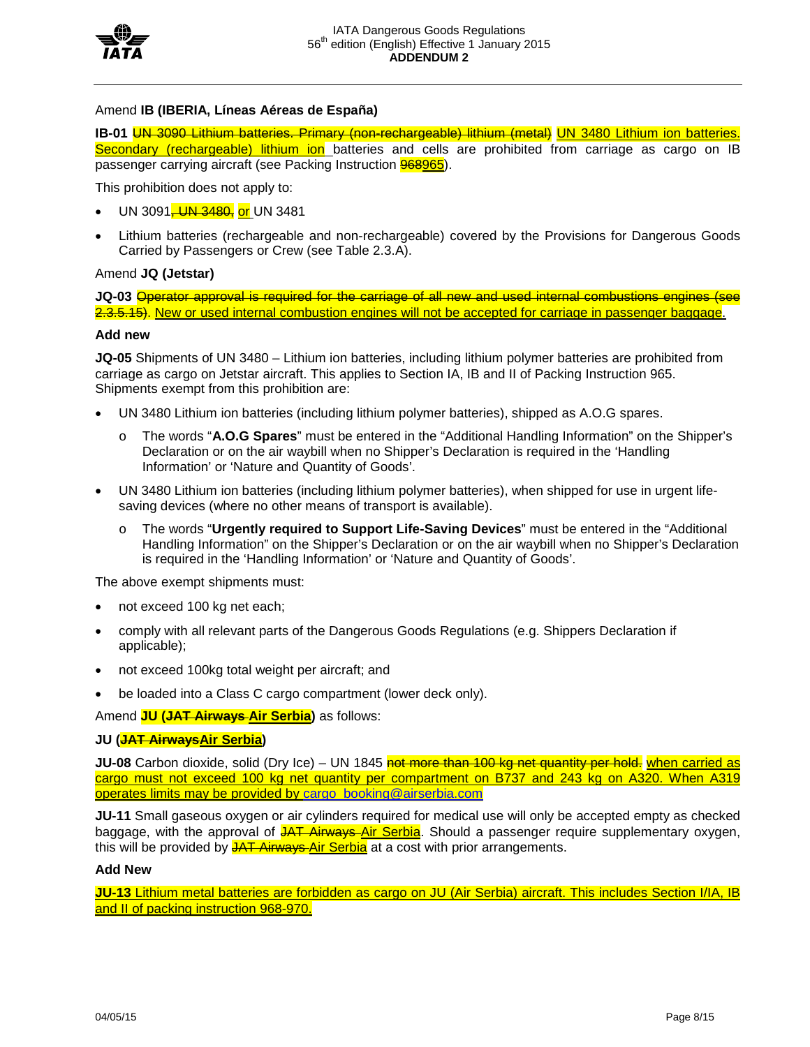

# Amend **IB (IBERIA, Líneas Aéreas de España)**

**IB-01** UN 3090 Lithium batteries. Primary (non-rechargeable) lithium (metal) UN 3480 Lithium ion batteries. Secondary (rechargeable) lithium ion batteries and cells are prohibited from carriage as cargo on IB passenger carrying aircraft (see Packing Instruction 968965).

This prohibition does not apply to:

- UN 3091<sup>-</sup> UN 3480, or UN 3481
- Lithium batteries (rechargeable and non-rechargeable) covered by the Provisions for Dangerous Goods Carried by Passengers or Crew (see Table 2.3.A).

# Amend **JQ (Jetstar)**

**JQ-03** Operator approval is required for the carriage of all new and used internal combustions engines (see 2.3.5.15). New or used internal combustion engines will not be accepted for carriage in passenger baggage.

# **Add new**

**JQ-05** Shipments of UN 3480 – Lithium ion batteries, including lithium polymer batteries are prohibited from carriage as cargo on Jetstar aircraft. This applies to Section IA, IB and II of Packing Instruction 965. Shipments exempt from this prohibition are:

- UN 3480 Lithium ion batteries (including lithium polymer batteries), shipped as A.O.G spares.
	- o The words "**A.O.G Spares**" must be entered in the "Additional Handling Information" on the Shipper's Declaration or on the air waybill when no Shipper's Declaration is required in the 'Handling Information' or 'Nature and Quantity of Goods'.
- UN 3480 Lithium ion batteries (including lithium polymer batteries), when shipped for use in urgent lifesaving devices (where no other means of transport is available).
	- o The words "**Urgently required to Support Life-Saving Devices**" must be entered in the "Additional Handling Information" on the Shipper's Declaration or on the air waybill when no Shipper's Declaration is required in the 'Handling Information' or 'Nature and Quantity of Goods'.

The above exempt shipments must:

- not exceed 100 kg net each;
- comply with all relevant parts of the Dangerous Goods Regulations (e.g. Shippers Declaration if applicable);
- not exceed 100kg total weight per aircraft; and
- be loaded into a Class C cargo compartment (lower deck only).

Amend **JU (JAT Airways Air Serbia)** as follows:

# **JU (JAT AirwaysAir Serbia)**

**JU-08** Carbon dioxide, solid (Dry Ice) – UN 1845 not more than 100 kg net quantity per hold. when carried as cargo must not exceed 100 kg net quantity per compartment on B737 and 243 kg on A320. When A319 operates limits may be provided by [cargo\\_booking@airserbia.com](mailto:cargo_booking@airserbia.com)

**JU-11** Small gaseous oxygen or air cylinders required for medical use will only be accepted empty as checked baggage, with the approval of JAT Airways Air Serbia. Should a passenger require supplementary oxygen, this will be provided by JAT Airways Air Serbia at a cost with prior arrangements.

# **Add New**

**JU-13** Lithium metal batteries are forbidden as cargo on JU (Air Serbia) aircraft. This includes Section I/IA, IB and II of packing instruction 968-970.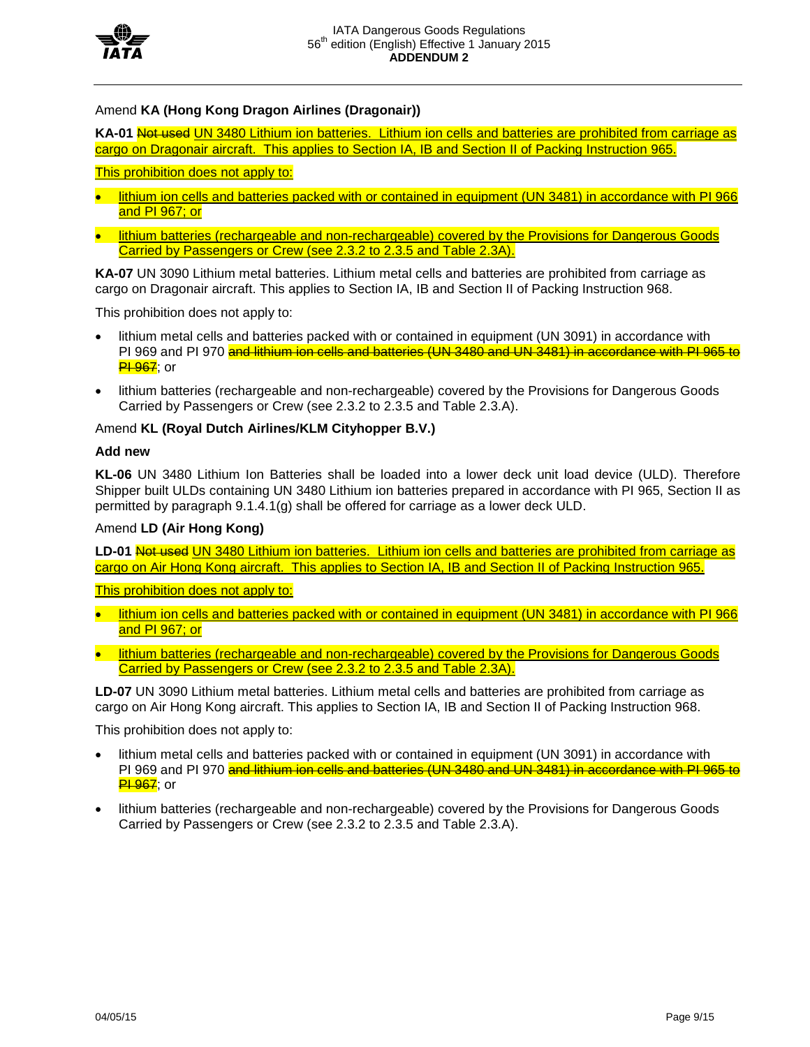

# Amend **KA (Hong Kong Dragon Airlines (Dragonair))**

KA-01 Not used UN 3480 Lithium ion batteries. Lithium ion cells and batteries are prohibited from carriage as cargo on Dragonair aircraft. This applies to Section IA, IB and Section II of Packing Instruction 965.

# This prohibition does not apply to:

- lithium ion cells and batteries packed with or contained in equipment (UN 3481) in accordance with PI 966 and PI 967; or
- lithium batteries (rechargeable and non-rechargeable) covered by the Provisions for Dangerous Goods Carried by Passengers or Crew (see 2.3.2 to 2.3.5 and Table 2.3A).

**KA-07** UN 3090 Lithium metal batteries. Lithium metal cells and batteries are prohibited from carriage as cargo on Dragonair aircraft. This applies to Section IA, IB and Section II of Packing Instruction 968.

This prohibition does not apply to:

- lithium metal cells and batteries packed with or contained in equipment (UN 3091) in accordance with PI 969 and PI 970 and lithium ion cells and batteries (UN 3480 and UN 3481) in accordance with PI 965 to <del>PI 967</del>; or
- lithium batteries (rechargeable and non-rechargeable) covered by the Provisions for Dangerous Goods Carried by Passengers or Crew (see 2.3.2 to 2.3.5 and Table 2.3.A).

### Amend **KL (Royal Dutch Airlines/KLM Cityhopper B.V.)**

#### **Add new**

**KL-06** UN 3480 Lithium Ion Batteries shall be loaded into a lower deck unit load device (ULD). Therefore Shipper built ULDs containing UN 3480 Lithium ion batteries prepared in accordance with PI 965, Section II as permitted by paragraph 9.1.4.1(g) shall be offered for carriage as a lower deck ULD.

### Amend **LD (Air Hong Kong)**

**LD-01** Not used UN 3480 Lithium ion batteries. Lithium ion cells and batteries are prohibited from carriage as cargo on Air Hong Kong aircraft. This applies to Section IA, IB and Section II of Packing Instruction 965.

This prohibition does not apply to:

- lithium ion cells and batteries packed with or contained in equipment (UN 3481) in accordance with PI 966 and PI 967; or
- lithium batteries (rechargeable and non-rechargeable) covered by the Provisions for Dangerous Goods Carried by Passengers or Crew (see 2.3.2 to 2.3.5 and Table 2.3A).

**LD-07** UN 3090 Lithium metal batteries. Lithium metal cells and batteries are prohibited from carriage as cargo on Air Hong Kong aircraft. This applies to Section IA, IB and Section II of Packing Instruction 968.

This prohibition does not apply to:

- lithium metal cells and batteries packed with or contained in equipment (UN 3091) in accordance with PI 969 and PI 970 and lithium ion cells and batteries (UN 3480 and UN 3481) in accordance with PI 965 to <mark>PI 967</mark>; or
- lithium batteries (rechargeable and non-rechargeable) covered by the Provisions for Dangerous Goods Carried by Passengers or Crew (see 2.3.2 to 2.3.5 and Table 2.3.A).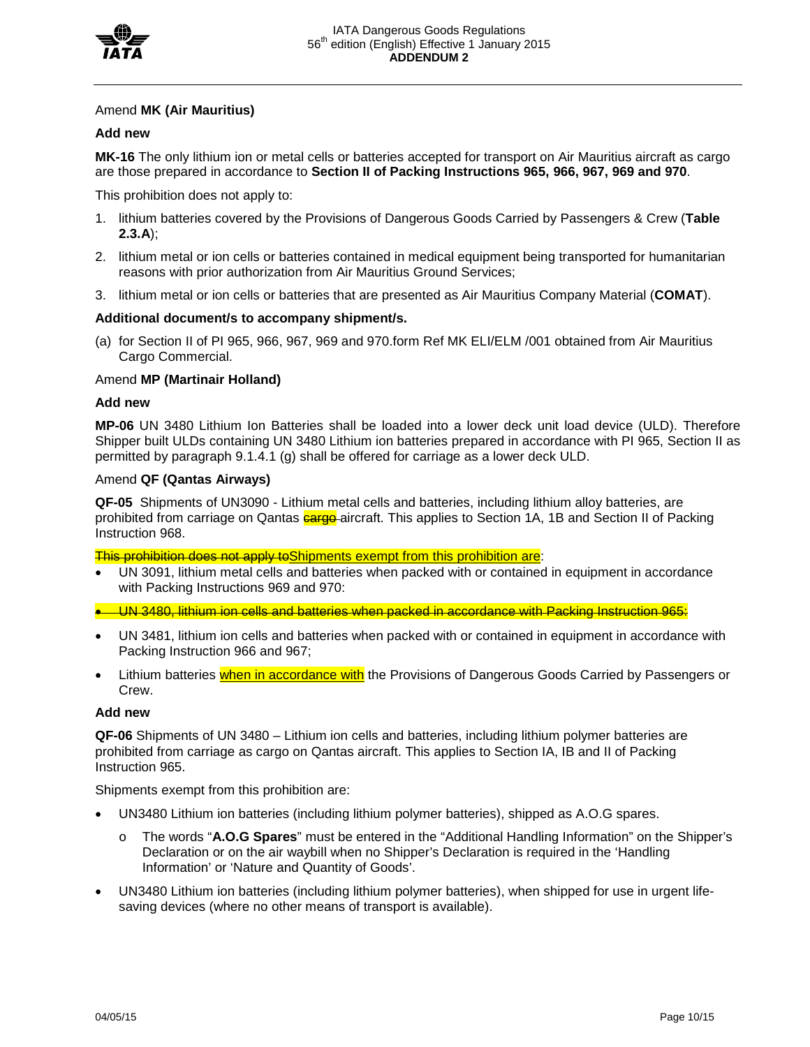

# Amend **MK (Air Mauritius)**

#### **Add new**

**MK-16** The only lithium ion or metal cells or batteries accepted for transport on Air Mauritius aircraft as cargo are those prepared in accordance to **Section II of Packing Instructions 965, 966, 967, 969 and 970**.

This prohibition does not apply to:

- 1. lithium batteries covered by the Provisions of Dangerous Goods Carried by Passengers & Crew (**Table 2.3.A**);
- 2. lithium metal or ion cells or batteries contained in medical equipment being transported for humanitarian reasons with prior authorization from Air Mauritius Ground Services;
- 3. lithium metal or ion cells or batteries that are presented as Air Mauritius Company Material (**COMAT**).

### **Additional document/s to accompany shipment/s.**

(a) for Section II of PI 965, 966, 967, 969 and 970.form Ref MK ELI/ELM /001 obtained from Air Mauritius Cargo Commercial.

### Amend **MP (Martinair Holland)**

#### **Add new**

**MP-06** UN 3480 Lithium Ion Batteries shall be loaded into a lower deck unit load device (ULD). Therefore Shipper built ULDs containing UN 3480 Lithium ion batteries prepared in accordance with PI 965, Section II as permitted by paragraph 9.1.4.1 (g) shall be offered for carriage as a lower deck ULD.

# Amend **QF (Qantas Airways)**

**QF-05** Shipments of UN3090 - Lithium metal cells and batteries, including lithium alloy batteries, are prohibited from carriage on Qantas **cargo** aircraft. This applies to Section 1A, 1B and Section II of Packing Instruction 968.

This prohibition does not apply to Shipments exempt from this prohibition are:

• UN 3091, lithium metal cells and batteries when packed with or contained in equipment in accordance with Packing Instructions 969 and 970:

• UN 3480, lithium ion cells and batteries when packed in accordance with Packing Instruction 965:

- UN 3481, lithium ion cells and batteries when packed with or contained in equipment in accordance with Packing Instruction 966 and 967;
- Lithium batteries when in accordance with the Provisions of Dangerous Goods Carried by Passengers or Crew.

#### **Add new**

**QF-06** Shipments of UN 3480 – Lithium ion cells and batteries, including lithium polymer batteries are prohibited from carriage as cargo on Qantas aircraft. This applies to Section IA, IB and II of Packing Instruction 965.

Shipments exempt from this prohibition are:

- UN3480 Lithium ion batteries (including lithium polymer batteries), shipped as A.O.G spares.
	- o The words "**A.O.G Spares**" must be entered in the "Additional Handling Information" on the Shipper's Declaration or on the air waybill when no Shipper's Declaration is required in the 'Handling Information' or 'Nature and Quantity of Goods'.
- UN3480 Lithium ion batteries (including lithium polymer batteries), when shipped for use in urgent lifesaving devices (where no other means of transport is available).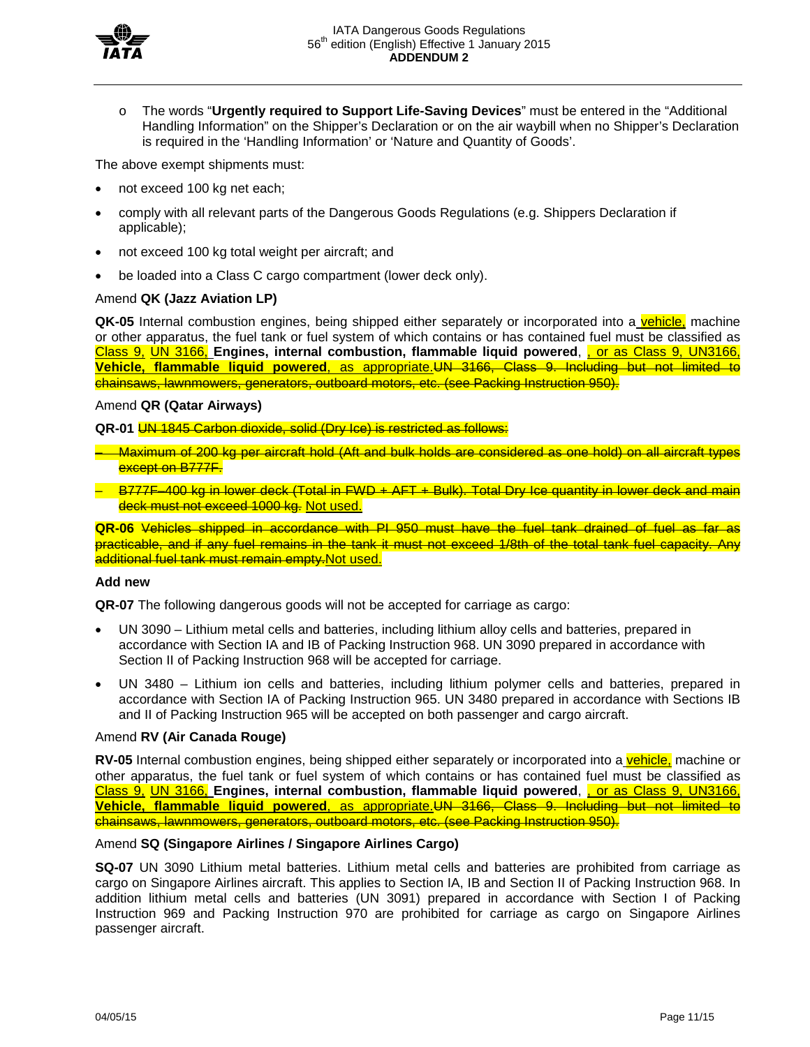

o The words "**Urgently required to Support Life-Saving Devices**" must be entered in the "Additional Handling Information" on the Shipper's Declaration or on the air waybill when no Shipper's Declaration is required in the 'Handling Information' or 'Nature and Quantity of Goods'.

The above exempt shipments must:

- not exceed 100 kg net each;
- comply with all relevant parts of the Dangerous Goods Regulations (e.g. Shippers Declaration if applicable);
- not exceed 100 kg total weight per aircraft; and
- be loaded into a Class C cargo compartment (lower deck only).

# Amend **QK (Jazz Aviation LP)**

**QK-05** Internal combustion engines, being shipped either separately or incorporated into a vehicle, machine or other apparatus, the fuel tank or fuel system of which contains or has contained fuel must be classified as Class 9, UN 3166, **Engines, internal combustion, flammable liquid powered**, , or as Class 9, UN3166, **Vehicle, flammable liquid powered**, as appropriate.UN 3166, Class 9. Including but not limited to chainsaws, lawnmowers, generators, outboard motors, etc. (see Packing Instruction 950).

# Amend **QR (Qatar Airways)**

**QR-01** UN 1845 Carbon dioxide, solid (Dry Ice) is restricted as follows:

- Maximum of 200 kg per aircraft hold (Aft and bulk holds are considered as one hold) on all aircraft types except on B777F.
- B777F–400 kg in lower deck (Total in FWD + AFT + Bulk). Total Dry Ice quantity in lower deck and main deck must not exceed 1000 kg. Not used.

**QR-06** Vehicles shipped in accordance with PI 950 must have the fuel tank drained of fuel as far as practicable, and if any fuel remains in the tank it must not exceed 1/8th of the total tank fuel capacity. Any additional fuel tank must remain empty.Not used.

# **Add new**

**QR-07** The following dangerous goods will not be accepted for carriage as cargo:

- UN 3090 Lithium metal cells and batteries, including lithium alloy cells and batteries, prepared in accordance with Section IA and IB of Packing Instruction 968. UN 3090 prepared in accordance with Section II of Packing Instruction 968 will be accepted for carriage.
- UN 3480 Lithium ion cells and batteries, including lithium polymer cells and batteries, prepared in accordance with Section IA of Packing Instruction 965. UN 3480 prepared in accordance with Sections IB and II of Packing Instruction 965 will be accepted on both passenger and cargo aircraft.

# Amend **RV (Air Canada Rouge)**

**RV-05** Internal combustion engines, being shipped either separately or incorporated into a vehicle, machine or other apparatus, the fuel tank or fuel system of which contains or has contained fuel must be classified as Class 9, UN 3166, Engines, internal combustion, flammable liquid powered, or as Class 9, UN3166, **Vehicle, flammable liquid powered**, as appropriate.UN 3166, Class 9. Including but not limited to chainsaws, lawnmowers, generators, outboard motors, etc. (see Packing Instruction 950).

# Amend **SQ (Singapore Airlines / Singapore Airlines Cargo)**

**SQ-07** UN 3090 Lithium metal batteries. Lithium metal cells and batteries are prohibited from carriage as cargo on Singapore Airlines aircraft. This applies to Section IA, IB and Section II of Packing Instruction 968. In addition lithium metal cells and batteries (UN 3091) prepared in accordance with Section I of Packing Instruction 969 and Packing Instruction 970 are prohibited for carriage as cargo on Singapore Airlines passenger aircraft.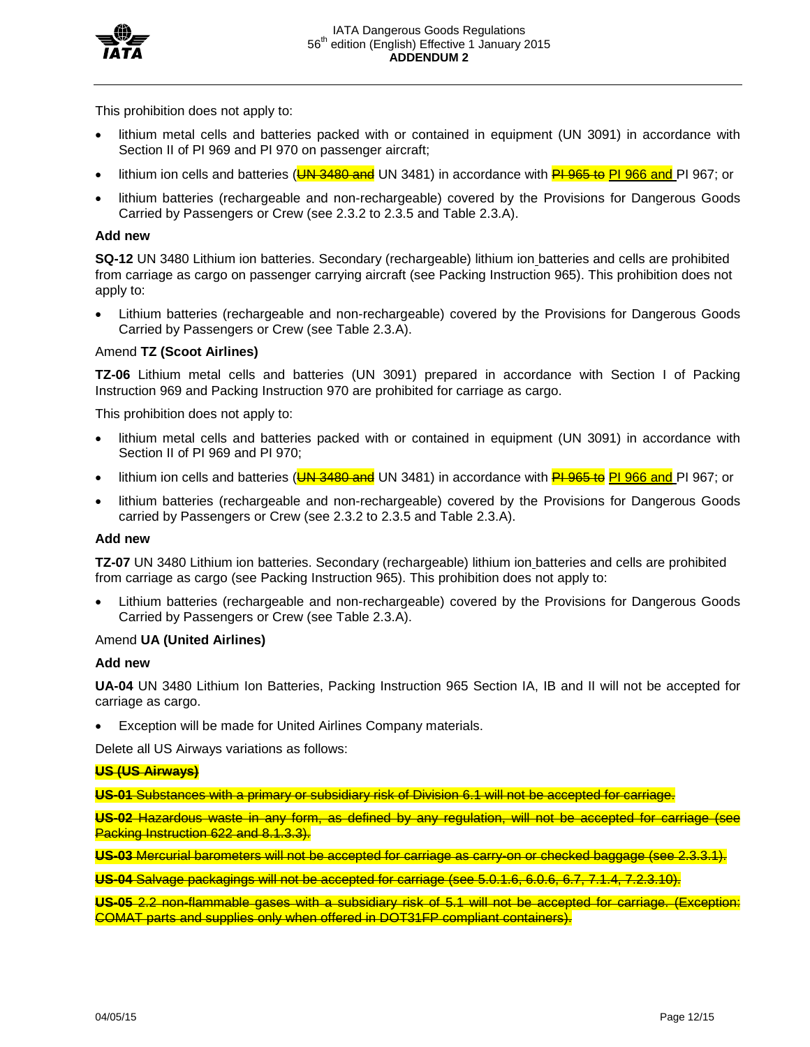

This prohibition does not apply to:

- lithium metal cells and batteries packed with or contained in equipment (UN 3091) in accordance with Section II of PI 969 and PI 970 on passenger aircraft;
- lithium ion cells and batteries (UN 3480 and UN 3481) in accordance with **PL 965 to PL 966 and PL 967; or**
- lithium batteries (rechargeable and non-rechargeable) covered by the Provisions for Dangerous Goods Carried by Passengers or Crew (see 2.3.2 to 2.3.5 and Table 2.3.A).

# **Add new**

**SQ-12** UN 3480 Lithium ion batteries. Secondary (rechargeable) lithium ion batteries and cells are prohibited from carriage as cargo on passenger carrying aircraft (see Packing Instruction 965). This prohibition does not apply to:

• Lithium batteries (rechargeable and non-rechargeable) covered by the Provisions for Dangerous Goods Carried by Passengers or Crew (see Table 2.3.A).

# Amend **TZ (Scoot Airlines)**

**TZ-06** Lithium metal cells and batteries (UN 3091) prepared in accordance with Section I of Packing Instruction 969 and Packing Instruction 970 are prohibited for carriage as cargo.

This prohibition does not apply to:

- lithium metal cells and batteries packed with or contained in equipment (UN 3091) in accordance with Section II of PI 969 and PI 970;
- lithium ion cells and batteries (UN 3480 and UN 3481) in accordance with PL 965 to PI 966 and PI 967; or
- lithium batteries (rechargeable and non-rechargeable) covered by the Provisions for Dangerous Goods carried by Passengers or Crew (see 2.3.2 to 2.3.5 and Table 2.3.A).

# **Add new**

**TZ-07** UN 3480 Lithium ion batteries. Secondary (rechargeable) lithium ion batteries and cells are prohibited from carriage as cargo (see Packing Instruction 965). This prohibition does not apply to:

• Lithium batteries (rechargeable and non-rechargeable) covered by the Provisions for Dangerous Goods Carried by Passengers or Crew (see Table 2.3.A).

# Amend **UA (United Airlines)**

#### **Add new**

**UA-04** UN 3480 Lithium Ion Batteries, Packing Instruction 965 Section IA, IB and II will not be accepted for carriage as cargo.

Exception will be made for United Airlines Company materials.

Delete all US Airways variations as follows:

# **US (US Airways)**

**US-01** Substances with a primary or subsidiary risk of Division 6.1 will not be accepted for carriage.

**US-02** Hazardous waste in any form, as defined by any regulation, will not be accepted for carriage (see Packing Instruction 622 and 8.1.3.3).

**US-03** Mercurial barometers will not be accepted for carriage as carry-on or checked baggage (see 2.3.3.1).

**US-04** Salvage packagings will not be accepted for carriage (see 5.0.1.6, 6.0.6, 6.7, 7.1.4, 7.2.3.10).

**US-05** 2.2 non-flammable gases with a subsidiary risk of 5.1 will not be accepted for carriage. (Exception: COMAT parts and supplies only when offered in DOT31FP compliant containers).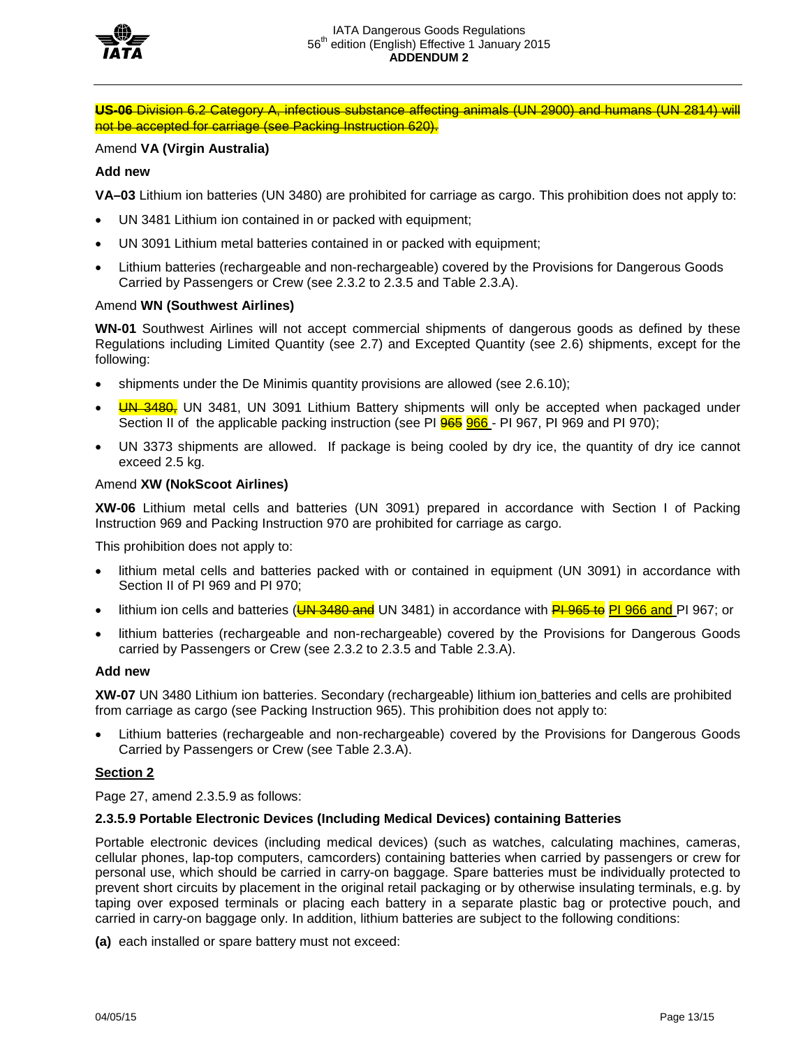

**US-06** Division 6.2 Category A, infectious substance affecting animals (UN 2900) and humans (UN 2814) will not be accepted for carriage (see Packing Instruction 620).

# Amend **VA (Virgin Australia)**

### **Add new**

**VA–03** Lithium ion batteries (UN 3480) are prohibited for carriage as cargo. This prohibition does not apply to:

- UN 3481 Lithium ion contained in or packed with equipment;
- UN 3091 Lithium metal batteries contained in or packed with equipment;
- Lithium batteries (rechargeable and non-rechargeable) covered by the Provisions for Dangerous Goods Carried by Passengers or Crew (see 2.3.2 to 2.3.5 and Table 2.3.A).

#### Amend **WN (Southwest Airlines)**

**WN-01** Southwest Airlines will not accept commercial shipments of dangerous goods as defined by these Regulations including Limited Quantity (see 2.7) and Excepted Quantity (see 2.6) shipments, except for the following:

- shipments under the De Minimis quantity provisions are allowed (see 2.6.10);
- **UN 3480**, UN 3481, UN 3091 Lithium Battery shipments will only be accepted when packaged under Section II of the applicable packing instruction (see PI 965 966 - PI 967, PI 969 and PI 970);
- UN 3373 shipments are allowed. If package is being cooled by dry ice, the quantity of dry ice cannot exceed 2.5 kg.

#### Amend **XW (NokScoot Airlines)**

**XW-06** Lithium metal cells and batteries (UN 3091) prepared in accordance with Section I of Packing Instruction 969 and Packing Instruction 970 are prohibited for carriage as cargo.

This prohibition does not apply to:

- lithium metal cells and batteries packed with or contained in equipment (UN 3091) in accordance with Section II of PI 969 and PI 970;
- lithium ion cells and batteries (UN 3480 and UN 3481) in accordance with PL 965 to PI 966 and PI 967; or
- lithium batteries (rechargeable and non-rechargeable) covered by the Provisions for Dangerous Goods carried by Passengers or Crew (see 2.3.2 to 2.3.5 and Table 2.3.A).

#### **Add new**

**XW-07** UN 3480 Lithium ion batteries. Secondary (rechargeable) lithium ion batteries and cells are prohibited from carriage as cargo (see Packing Instruction 965). This prohibition does not apply to:

• Lithium batteries (rechargeable and non-rechargeable) covered by the Provisions for Dangerous Goods Carried by Passengers or Crew (see Table 2.3.A).

#### **Section 2**

Page 27, amend 2.3.5.9 as follows:

#### **2.3.5.9 Portable Electronic Devices (Including Medical Devices) containing Batteries**

Portable electronic devices (including medical devices) (such as watches, calculating machines, cameras, cellular phones, lap-top computers, camcorders) containing batteries when carried by passengers or crew for personal use, which should be carried in carry-on baggage. Spare batteries must be individually protected to prevent short circuits by placement in the original retail packaging or by otherwise insulating terminals, e.g. by taping over exposed terminals or placing each battery in a separate plastic bag or protective pouch, and carried in carry-on baggage only. In addition, lithium batteries are subject to the following conditions:

**(a)** each installed or spare battery must not exceed: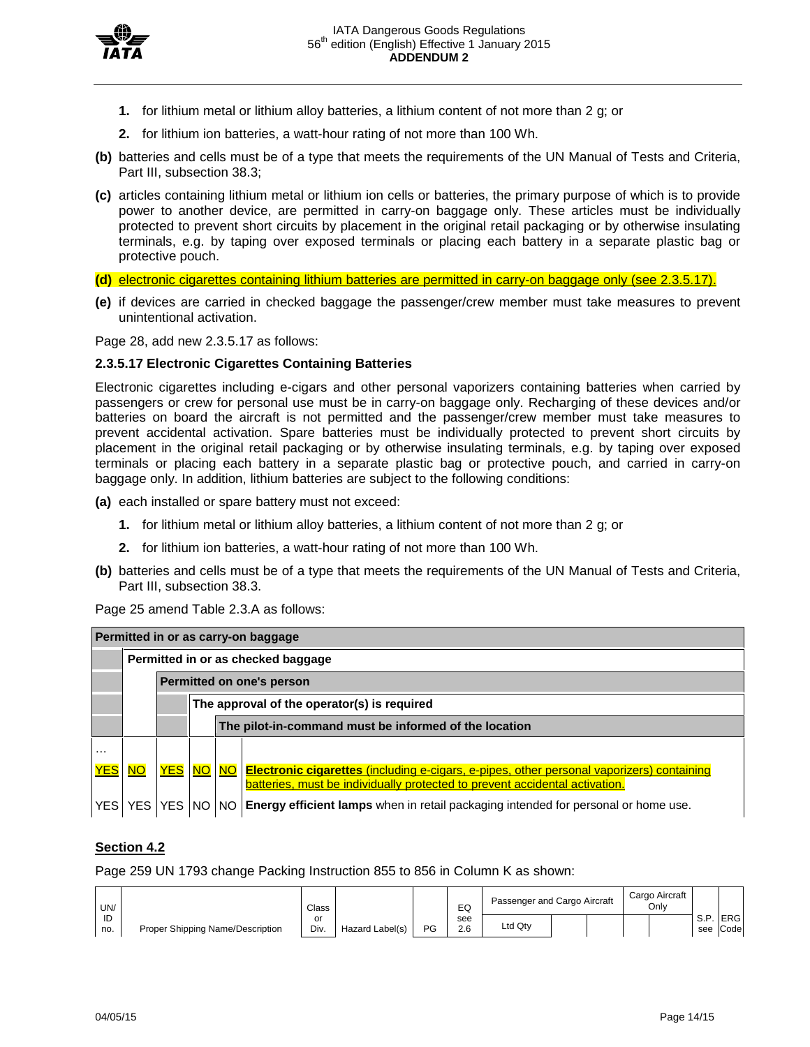

- **1.** for lithium metal or lithium alloy batteries, a lithium content of not more than 2 g; or
- **2.** for lithium ion batteries, a watt-hour rating of not more than 100 Wh.
- **(b)** batteries and cells must be of a type that meets the requirements of the UN Manual of Tests and Criteria, Part III, subsection 38.3;
- **(c)** articles containing lithium metal or lithium ion cells or batteries, the primary purpose of which is to provide power to another device, are permitted in carry-on baggage only. These articles must be individually protected to prevent short circuits by placement in the original retail packaging or by otherwise insulating terminals, e.g. by taping over exposed terminals or placing each battery in a separate plastic bag or protective pouch.

**(d)** electronic cigarettes containing lithium batteries are permitted in carry-on baggage only (see 2.3.5.17).

**(e)** if devices are carried in checked baggage the passenger/crew member must take measures to prevent unintentional activation.

Page 28, add new 2.3.5.17 as follows:

# **2.3.5.17 Electronic Cigarettes Containing Batteries**

Electronic cigarettes including e-cigars and other personal vaporizers containing batteries when carried by passengers or crew for personal use must be in carry-on baggage only. Recharging of these devices and/or batteries on board the aircraft is not permitted and the passenger/crew member must take measures to prevent accidental activation. Spare batteries must be individually protected to prevent short circuits by placement in the original retail packaging or by otherwise insulating terminals, e.g. by taping over exposed terminals or placing each battery in a separate plastic bag or protective pouch, and carried in carry-on baggage only. In addition, lithium batteries are subject to the following conditions:

**(a)** each installed or spare battery must not exceed:

- **1.** for lithium metal or lithium alloy batteries, a lithium content of not more than 2 g; or
- **2.** for lithium ion batteries, a watt-hour rating of not more than 100 Wh.
- **(b)** batteries and cells must be of a type that meets the requirements of the UN Manual of Tests and Criteria, Part III, subsection 38.3.

Page 25 amend Table 2.3.A as follows:

| Permitted in or as carry-on baggage |                                    |  |                           |                                             |                                                                                                                                                                                    |  |  |  |  |  |  |  |  |  |
|-------------------------------------|------------------------------------|--|---------------------------|---------------------------------------------|------------------------------------------------------------------------------------------------------------------------------------------------------------------------------------|--|--|--|--|--|--|--|--|--|
|                                     | Permitted in or as checked baggage |  |                           |                                             |                                                                                                                                                                                    |  |  |  |  |  |  |  |  |  |
|                                     |                                    |  | Permitted on one's person |                                             |                                                                                                                                                                                    |  |  |  |  |  |  |  |  |  |
|                                     |                                    |  |                           | The approval of the operator(s) is required |                                                                                                                                                                                    |  |  |  |  |  |  |  |  |  |
|                                     |                                    |  |                           |                                             | The pilot-in-command must be informed of the location                                                                                                                              |  |  |  |  |  |  |  |  |  |
| .                                   |                                    |  |                           |                                             |                                                                                                                                                                                    |  |  |  |  |  |  |  |  |  |
| <b>YES</b>                          | <b>NO</b>                          |  |                           |                                             | YES NO NO Electronic cigarettes (including e-cigars, e-pipes, other personal vaporizers) containing<br>batteries, must be individually protected to prevent accidental activation. |  |  |  |  |  |  |  |  |  |
| YES I                               | YES I                              |  |                           |                                             | YES   NO   NO   Energy efficient lamps when in retail packaging intended for personal or home use.                                                                                 |  |  |  |  |  |  |  |  |  |

# **Section 4.2**

Page 259 UN 1793 change Packing Instruction 855 to 856 in Column K as shown:

| UN/ |                                  | Class |                 |    | EC  | Passenger and Cargo Aircraft |  |  | Cargo Aircraft<br>Onlv |             |             |
|-----|----------------------------------|-------|-----------------|----|-----|------------------------------|--|--|------------------------|-------------|-------------|
| ID  |                                  | or    |                 |    | see |                              |  |  |                        | e n.<br>O.F | <b>IERG</b> |
| no. | Proper Shipping Name/Description | Div.  | Hazard Label(s) | PG | 2.6 | ∟td Qty                      |  |  |                        | see         | Code        |